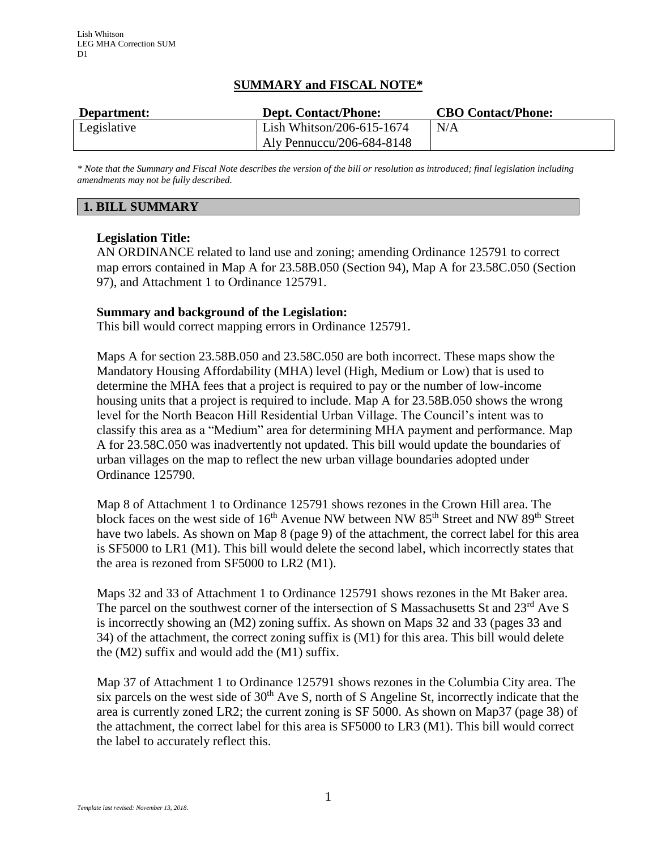## **SUMMARY and FISCAL NOTE\***

| Department: | <b>Dept. Contact/Phone:</b> | <b>CBO Contact/Phone:</b> |
|-------------|-----------------------------|---------------------------|
| Legislative | Lish Whitson/206-615-1674   | N/A                       |
|             | Aly Pennuccu/206-684-8148   |                           |

*\* Note that the Summary and Fiscal Note describes the version of the bill or resolution as introduced; final legislation including amendments may not be fully described.*

# **1. BILL SUMMARY**

## **Legislation Title:**

AN ORDINANCE related to land use and zoning; amending Ordinance 125791 to correct map errors contained in Map A for 23.58B.050 (Section 94), Map A for 23.58C.050 (Section 97), and Attachment 1 to Ordinance 125791.

### **Summary and background of the Legislation:**

This bill would correct mapping errors in Ordinance 125791.

Maps A for section 23.58B.050 and 23.58C.050 are both incorrect. These maps show the Mandatory Housing Affordability (MHA) level (High, Medium or Low) that is used to determine the MHA fees that a project is required to pay or the number of low-income housing units that a project is required to include. Map A for 23.58B.050 shows the wrong level for the North Beacon Hill Residential Urban Village. The Council's intent was to classify this area as a "Medium" area for determining MHA payment and performance. Map A for 23.58C.050 was inadvertently not updated. This bill would update the boundaries of urban villages on the map to reflect the new urban village boundaries adopted under Ordinance 125790.

Map 8 of Attachment 1 to Ordinance 125791 shows rezones in the Crown Hill area. The block faces on the west side of  $16<sup>th</sup>$  Avenue NW between NW 85<sup>th</sup> Street and NW 89<sup>th</sup> Street have two labels. As shown on Map 8 (page 9) of the attachment, the correct label for this area is SF5000 to LR1 (M1). This bill would delete the second label, which incorrectly states that the area is rezoned from SF5000 to LR2 (M1).

Maps 32 and 33 of Attachment 1 to Ordinance 125791 shows rezones in the Mt Baker area. The parcel on the southwest corner of the intersection of S Massachusetts St and 23<sup>rd</sup> Ave S is incorrectly showing an (M2) zoning suffix. As shown on Maps 32 and 33 (pages 33 and 34) of the attachment, the correct zoning suffix is (M1) for this area. This bill would delete the (M2) suffix and would add the (M1) suffix.

Map 37 of Attachment 1 to Ordinance 125791 shows rezones in the Columbia City area. The six parcels on the west side of  $30<sup>th</sup>$  Ave S, north of S Angeline St, incorrectly indicate that the area is currently zoned LR2; the current zoning is SF 5000. As shown on Map37 (page 38) of the attachment, the correct label for this area is SF5000 to LR3 (M1). This bill would correct the label to accurately reflect this.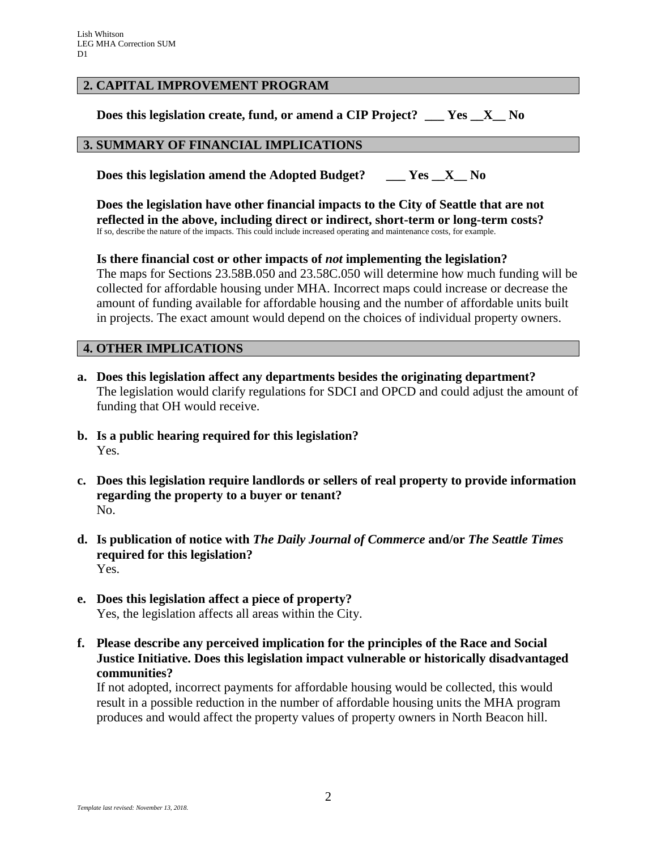## **2. CAPITAL IMPROVEMENT PROGRAM**

**Does this legislation create, fund, or amend a CIP Project? \_\_\_ Yes \_\_X\_\_ No**

### **3. SUMMARY OF FINANCIAL IMPLICATIONS**

**Does this legislation amend the Adopted Budget? \_\_\_ Yes \_\_X\_\_ No**

**Does the legislation have other financial impacts to the City of Seattle that are not reflected in the above, including direct or indirect, short-term or long-term costs?** If so, describe the nature of the impacts. This could include increased operating and maintenance costs, for example.

**Is there financial cost or other impacts of** *not* **implementing the legislation?** The maps for Sections 23.58B.050 and 23.58C.050 will determine how much funding will be collected for affordable housing under MHA. Incorrect maps could increase or decrease the amount of funding available for affordable housing and the number of affordable units built in projects. The exact amount would depend on the choices of individual property owners.

## **4. OTHER IMPLICATIONS**

- **a. Does this legislation affect any departments besides the originating department?** The legislation would clarify regulations for SDCI and OPCD and could adjust the amount of funding that OH would receive.
- **b. Is a public hearing required for this legislation?** Yes.
- **c. Does this legislation require landlords or sellers of real property to provide information regarding the property to a buyer or tenant?** No.
- **d. Is publication of notice with** *The Daily Journal of Commerce* **and/or** *The Seattle Times* **required for this legislation?** Yes.
- **e. Does this legislation affect a piece of property?** Yes, the legislation affects all areas within the City.
- **f. Please describe any perceived implication for the principles of the Race and Social Justice Initiative. Does this legislation impact vulnerable or historically disadvantaged communities?**

If not adopted, incorrect payments for affordable housing would be collected, this would result in a possible reduction in the number of affordable housing units the MHA program produces and would affect the property values of property owners in North Beacon hill.